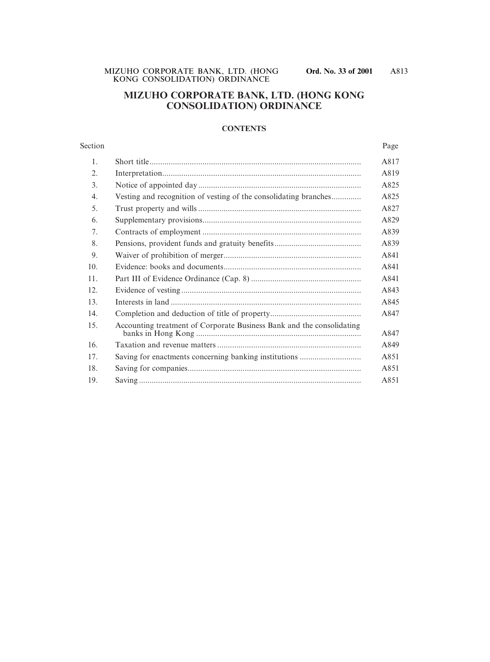# **MIZUHO CORPORATE BANK, LTD. (HONG KONG CONSOLIDATION) ORDINANCE**

#### **CONTENTS**

| Section |                                                                       | Page |
|---------|-----------------------------------------------------------------------|------|
| 1.      |                                                                       | A817 |
| 2.      |                                                                       | A819 |
| 3.      |                                                                       | A825 |
| 4.      | Vesting and recognition of vesting of the consolidating branches      | A825 |
| 5.      |                                                                       | A827 |
| 6.      |                                                                       | A829 |
| 7.      |                                                                       | A839 |
| 8.      |                                                                       | A839 |
| 9.      |                                                                       | A841 |
| 10.     |                                                                       | A841 |
| 11.     |                                                                       | A841 |
| 12.     |                                                                       | A843 |
| 13.     |                                                                       | A845 |
| 14.     |                                                                       | A847 |
| 15.     | Accounting treatment of Corporate Business Bank and the consolidating | A847 |
| 16.     |                                                                       | A849 |
| 17.     |                                                                       | A851 |
| 18.     |                                                                       | A851 |
| 19.     |                                                                       | A851 |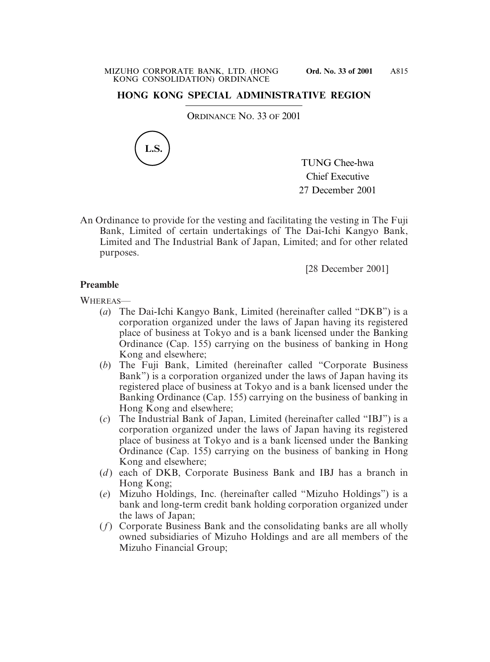# **HONG KONG SPECIAL ADMINISTRATIVE REGION**

ORDINANCE NO. 33 OF 2001



TUNG Chee-hwa Chief Executive 27 December 2001

An Ordinance to provide for the vesting and facilitating the vesting in The Fuji Bank, Limited of certain undertakings of The Dai-Ichi Kangyo Bank, Limited and The Industrial Bank of Japan, Limited; and for other related purposes.

[28 December 2001]

# **Preamble**

WHEREAS—

- (*a*) The Dai-Ichi Kangyo Bank, Limited (hereinafter called "DKB") is a corporation organized under the laws of Japan having its registered place of business at Tokyo and is a bank licensed under the Banking Ordinance (Cap. 155) carrying on the business of banking in Hong Kong and elsewhere;
- (*b*) The Fuji Bank, Limited (hereinafter called "Corporate Business Bank") is a corporation organized under the laws of Japan having its registered place of business at Tokyo and is a bank licensed under the Banking Ordinance (Cap. 155) carrying on the business of banking in Hong Kong and elsewhere;
- (*c*) The Industrial Bank of Japan, Limited (hereinafter called "IBJ") is a corporation organized under the laws of Japan having its registered place of business at Tokyo and is a bank licensed under the Banking Ordinance (Cap. 155) carrying on the business of banking in Hong Kong and elsewhere;
- (*d*) each of DKB, Corporate Business Bank and IBJ has a branch in Hong Kong;
- (*e*) Mizuho Holdings, Inc. (hereinafter called "Mizuho Holdings") is a bank and long-term credit bank holding corporation organized under the laws of Japan;
- (*f*) Corporate Business Bank and the consolidating banks are all wholly owned subsidiaries of Mizuho Holdings and are all members of the Mizuho Financial Group;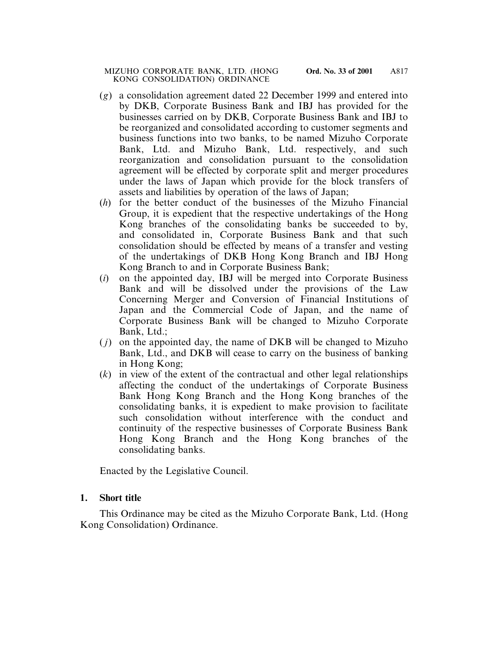- (*g*) a consolidation agreement dated 22 December 1999 and entered into by DKB, Corporate Business Bank and IBJ has provided for the businesses carried on by DKB, Corporate Business Bank and IBJ to be reorganized and consolidated according to customer segments and business functions into two banks, to be named Mizuho Corporate Bank, Ltd. and Mizuho Bank, Ltd. respectively, and such reorganization and consolidation pursuant to the consolidation agreement will be effected by corporate split and merger procedures under the laws of Japan which provide for the block transfers of assets and liabilities by operation of the laws of Japan;
- (*h*) for the better conduct of the businesses of the Mizuho Financial Group, it is expedient that the respective undertakings of the Hong Kong branches of the consolidating banks be succeeded to by, and consolidated in, Corporate Business Bank and that such consolidation should be effected by means of a transfer and vesting of the undertakings of DKB Hong Kong Branch and IBJ Hong Kong Branch to and in Corporate Business Bank;
- (*i*) on the appointed day, IBJ will be merged into Corporate Business Bank and will be dissolved under the provisions of the Law Concerning Merger and Conversion of Financial Institutions of Japan and the Commercial Code of Japan, and the name of Corporate Business Bank will be changed to Mizuho Corporate Bank, Ltd.;
- ( *j*) on the appointed day, the name of DKB will be changed to Mizuho Bank, Ltd., and DKB will cease to carry on the business of banking in Hong Kong;
- (*k*) in view of the extent of the contractual and other legal relationships affecting the conduct of the undertakings of Corporate Business Bank Hong Kong Branch and the Hong Kong branches of the consolidating banks, it is expedient to make provision to facilitate such consolidation without interference with the conduct and continuity of the respective businesses of Corporate Business Bank Hong Kong Branch and the Hong Kong branches of the consolidating banks.

Enacted by the Legislative Council.

# **1. Short title**

This Ordinance may be cited as the Mizuho Corporate Bank, Ltd. (Hong Kong Consolidation) Ordinance.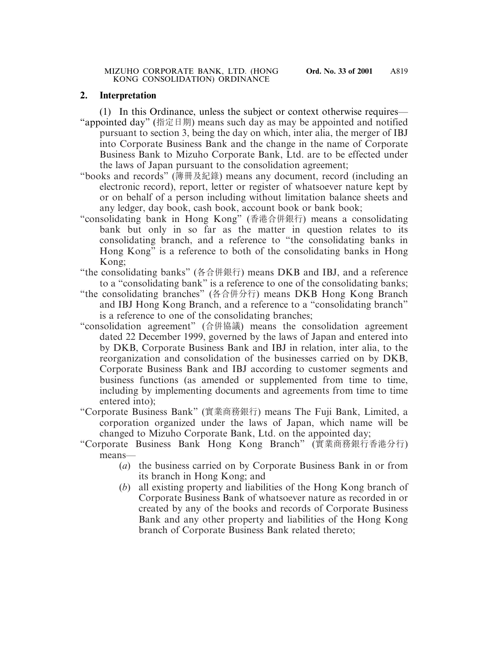### **2. Interpretation**

(1) In this Ordinance, unless the subject or context otherwise requires—

- "appointed day" (指定日期) means such day as may be appointed and notified pursuant to section 3, being the day on which, inter alia, the merger of IBJ into Corporate Business Bank and the change in the name of Corporate Business Bank to Mizuho Corporate Bank, Ltd. are to be effected under the laws of Japan pursuant to the consolidation agreement;
- "books and records" (簿冊及紀錄) means any document, record (including an electronic record), report, letter or register of whatsoever nature kept by or on behalf of a person including without limitation balance sheets and any ledger, day book, cash book, account book or bank book;
- "consolidating bank in Hong Kong" (香港合併銀行) means a consolidating bank but only in so far as the matter in question relates to its consolidating branch, and a reference to "the consolidating banks in Hong Kong" is a reference to both of the consolidating banks in Hong Kong;
- "the consolidating banks" (各合併銀行) means DKB and IBJ, and a reference to a "consolidating bank" is a reference to one of the consolidating banks;
- "the consolidating branches" (各合併分行) means DKB Hong Kong Branch and IBJ Hong Kong Branch, and a reference to a "consolidating branch" is a reference to one of the consolidating branches;
- "consolidation agreement" (合併協議) means the consolidation agreement dated 22 December 1999, governed by the laws of Japan and entered into by DKB, Corporate Business Bank and IBJ in relation, inter alia, to the reorganization and consolidation of the businesses carried on by DKB, Corporate Business Bank and IBJ according to customer segments and business functions (as amended or supplemented from time to time, including by implementing documents and agreements from time to time entered into);
- "Corporate Business Bank" (實業商務銀行) means The Fuji Bank, Limited, a corporation organized under the laws of Japan, which name will be changed to Mizuho Corporate Bank, Ltd. on the appointed day;
- "Corporate Business Bank Hong Kong Branch" (實業商務銀行香港分行) means—
	- (*a*) the business carried on by Corporate Business Bank in or from its branch in Hong Kong; and
	- (*b*) all existing property and liabilities of the Hong Kong branch of Corporate Business Bank of whatsoever nature as recorded in or created by any of the books and records of Corporate Business Bank and any other property and liabilities of the Hong Kong branch of Corporate Business Bank related thereto;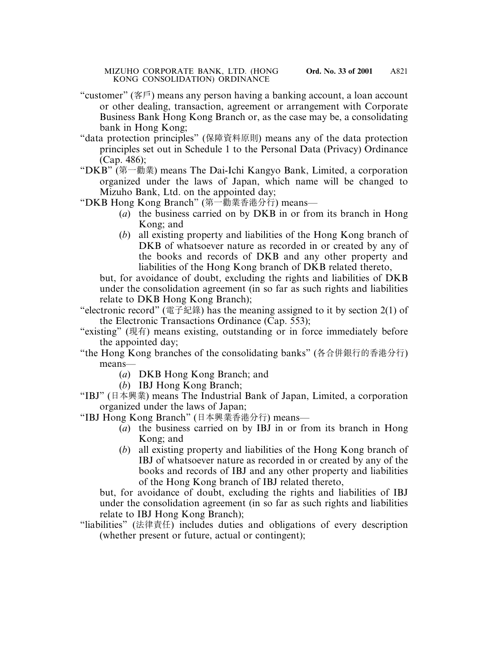- "customer" (客戶) means any person having a banking account, a loan account or other dealing, transaction, agreement or arrangement with Corporate Business Bank Hong Kong Branch or, as the case may be, a consolidating bank in Hong Kong;
- "data protection principles" (保障資料原則) means any of the data protection principles set out in Schedule 1 to the Personal Data (Privacy) Ordinance (Cap. 486);
- "DKB" (第一勸業) means The Dai-Ichi Kangyo Bank, Limited, a corporation organized under the laws of Japan, which name will be changed to Mizuho Bank, Ltd. on the appointed day;
- "DKB Hong Kong Branch" (第一勸業香港分行) means—
	- (*a*) the business carried on by DKB in or from its branch in Hong Kong; and
	- (*b*) all existing property and liabilities of the Hong Kong branch of DKB of whatsoever nature as recorded in or created by any of the books and records of DKB and any other property and liabilities of the Hong Kong branch of DKB related thereto,

but, for avoidance of doubt, excluding the rights and liabilities of DKB under the consolidation agreement (in so far as such rights and liabilities relate to DKB Hong Kong Branch);

- "electronic record" (電子紀錄) has the meaning assigned to it by section  $2(1)$  of the Electronic Transactions Ordinance (Cap. 553);
- "existing" (現有) means existing, outstanding or in force immediately before the appointed day;
- "the Hong Kong branches of the consolidating banks" (各合併銀行的香港分行) means—
	- (*a*) DKB Hong Kong Branch; and
	- (*b*) IBJ Hong Kong Branch;
- "IBJ" (日本興業) means The Industrial Bank of Japan, Limited, a corporation organized under the laws of Japan;
- "IBJ Hong Kong Branch" (日本興業香港分行) means—
	- (*a*) the business carried on by IBJ in or from its branch in Hong Kong; and
	- (*b*) all existing property and liabilities of the Hong Kong branch of IBJ of whatsoever nature as recorded in or created by any of the books and records of IBJ and any other property and liabilities of the Hong Kong branch of IBJ related thereto,

but, for avoidance of doubt, excluding the rights and liabilities of IBJ under the consolidation agreement (in so far as such rights and liabilities relate to IBJ Hong Kong Branch);

"liabilities" (法律責任) includes duties and obligations of every description (whether present or future, actual or contingent);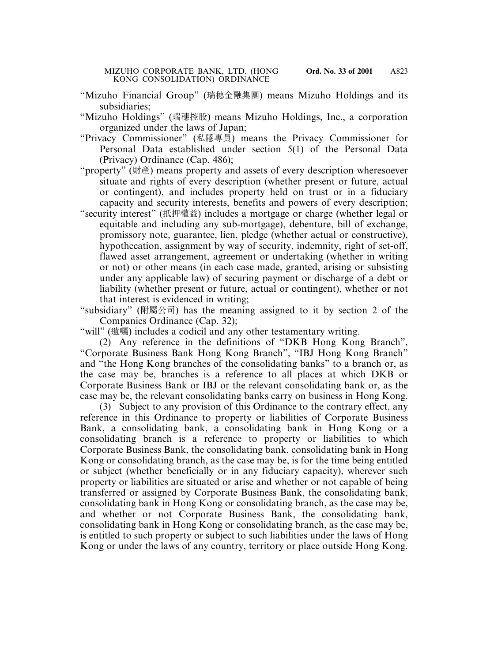- "Mizuho Financial Group" (瑞穗金融集團) means Mizuho Holdings and its subsidiaries;
- "Mizuho Holdings" (瑞穗控股) means Mizuho Holdings, Inc., a corporation organized under the laws of Japan;
- "Privacy Commissioner" (私隱專員) means the Privacy Commissioner for Personal Data established under section 5(1) of the Personal Data (Privacy) Ordinance (Cap. 486);
- "property" (財產) means property and assets of every description wheresoever situate and rights of every description (whether present or future, actual or contingent), and includes property held on trust or in a fiduciary capacity and security interests, benefits and powers of every description;
- "security interest" (抵押權益) includes a mortgage or charge (whether legal or equitable and including any sub-mortgage), debenture, bill of exchange, promissory note, guarantee, lien, pledge (whether actual or constructive), hypothecation, assignment by way of security, indemnity, right of set-off, flawed asset arrangement, agreement or undertaking (whether in writing or not) or other means (in each case made, granted, arising or subsisting under any applicable law) of securing payment or discharge of a debt or liability (whether present or future, actual or contingent), whether or not that interest is evidenced in writing;
- "subsidiary" (附屬公司) has the meaning assigned to it by section 2 of the Companies Ordinance (Cap. 32);

"will" (遺囑) includes a codicil and any other testamentary writing.

(2) Any reference in the definitions of "DKB Hong Kong Branch", "Corporate Business Bank Hong Kong Branch", "IBJ Hong Kong Branch" and "the Hong Kong branches of the consolidating banks" to a branch or, as the case may be, branches is a reference to all places at which DKB or Corporate Business Bank or IBJ or the relevant consolidating bank or, as the case may be, the relevant consolidating banks carry on business in Hong Kong.

(3) Subject to any provision of this Ordinance to the contrary effect, any reference in this Ordinance to property or liabilities of Corporate Business Bank, a consolidating bank, a consolidating bank in Hong Kong or a consolidating branch is a reference to property or liabilities to which Corporate Business Bank, the consolidating bank, consolidating bank in Hong Kong or consolidating branch, as the case may be, is for the time being entitled or subject (whether beneficially or in any fiduciary capacity), wherever such property or liabilities are situated or arise and whether or not capable of being transferred or assigned by Corporate Business Bank, the consolidating bank, consolidating bank in Hong Kong or consolidating branch, as the case may be, and whether or not Corporate Business Bank, the consolidating bank, consolidating bank in Hong Kong or consolidating branch, as the case may be, is entitled to such property or subject to such liabilities under the laws of Hong Kong or under the laws of any country, territory or place outside Hong Kong.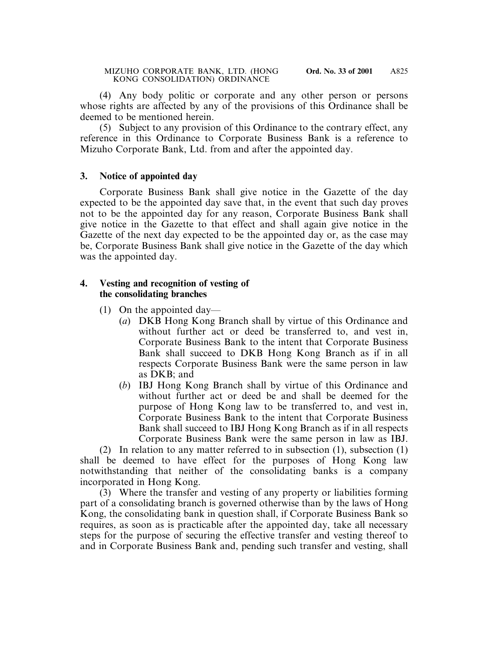(4) Any body politic or corporate and any other person or persons whose rights are affected by any of the provisions of this Ordinance shall be deemed to be mentioned herein.

(5) Subject to any provision of this Ordinance to the contrary effect, any reference in this Ordinance to Corporate Business Bank is a reference to Mizuho Corporate Bank, Ltd. from and after the appointed day.

# **3. Notice of appointed day**

Corporate Business Bank shall give notice in the Gazette of the day expected to be the appointed day save that, in the event that such day proves not to be the appointed day for any reason, Corporate Business Bank shall give notice in the Gazette to that effect and shall again give notice in the Gazette of the next day expected to be the appointed day or, as the case may be, Corporate Business Bank shall give notice in the Gazette of the day which was the appointed day.

### **4. Vesting and recognition of vesting of the consolidating branches**

- (1) On the appointed day—
	- (*a*) DKB Hong Kong Branch shall by virtue of this Ordinance and without further act or deed be transferred to, and vest in, Corporate Business Bank to the intent that Corporate Business Bank shall succeed to DKB Hong Kong Branch as if in all respects Corporate Business Bank were the same person in law as DKB; and
	- (*b*) IBJ Hong Kong Branch shall by virtue of this Ordinance and without further act or deed be and shall be deemed for the purpose of Hong Kong law to be transferred to, and vest in, Corporate Business Bank to the intent that Corporate Business Bank shall succeed to IBJ Hong Kong Branch as if in all respects Corporate Business Bank were the same person in law as IBJ.

(2) In relation to any matter referred to in subsection (1), subsection (1) shall be deemed to have effect for the purposes of Hong Kong law notwithstanding that neither of the consolidating banks is a company incorporated in Hong Kong.

(3) Where the transfer and vesting of any property or liabilities forming part of a consolidating branch is governed otherwise than by the laws of Hong Kong, the consolidating bank in question shall, if Corporate Business Bank so requires, as soon as is practicable after the appointed day, take all necessary steps for the purpose of securing the effective transfer and vesting thereof to and in Corporate Business Bank and, pending such transfer and vesting, shall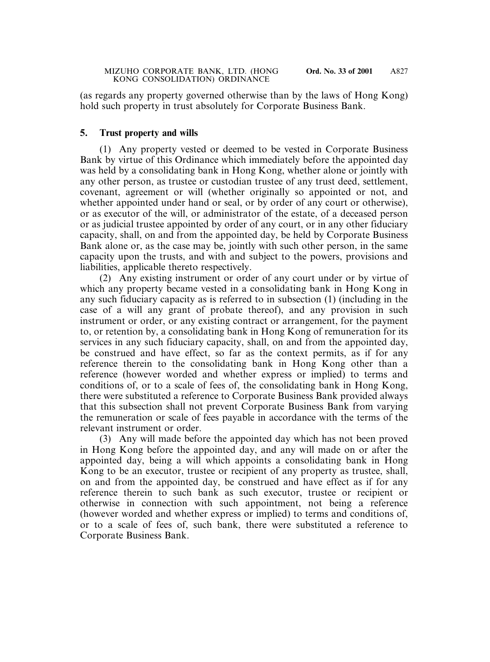(as regards any property governed otherwise than by the laws of Hong Kong) hold such property in trust absolutely for Corporate Business Bank.

### **5. Trust property and wills**

(1) Any property vested or deemed to be vested in Corporate Business Bank by virtue of this Ordinance which immediately before the appointed day was held by a consolidating bank in Hong Kong, whether alone or jointly with any other person, as trustee or custodian trustee of any trust deed, settlement, covenant, agreement or will (whether originally so appointed or not, and whether appointed under hand or seal, or by order of any court or otherwise), or as executor of the will, or administrator of the estate, of a deceased person or as judicial trustee appointed by order of any court, or in any other fiduciary capacity, shall, on and from the appointed day, be held by Corporate Business Bank alone or, as the case may be, jointly with such other person, in the same capacity upon the trusts, and with and subject to the powers, provisions and liabilities, applicable thereto respectively.

(2) Any existing instrument or order of any court under or by virtue of which any property became vested in a consolidating bank in Hong Kong in any such fiduciary capacity as is referred to in subsection (1) (including in the case of a will any grant of probate thereof), and any provision in such instrument or order, or any existing contract or arrangement, for the payment to, or retention by, a consolidating bank in Hong Kong of remuneration for its services in any such fiduciary capacity, shall, on and from the appointed day, be construed and have effect, so far as the context permits, as if for any reference therein to the consolidating bank in Hong Kong other than a reference (however worded and whether express or implied) to terms and conditions of, or to a scale of fees of, the consolidating bank in Hong Kong, there were substituted a reference to Corporate Business Bank provided always that this subsection shall not prevent Corporate Business Bank from varying the remuneration or scale of fees payable in accordance with the terms of the relevant instrument or order.

(3) Any will made before the appointed day which has not been proved in Hong Kong before the appointed day, and any will made on or after the appointed day, being a will which appoints a consolidating bank in Hong Kong to be an executor, trustee or recipient of any property as trustee, shall, on and from the appointed day, be construed and have effect as if for any reference therein to such bank as such executor, trustee or recipient or otherwise in connection with such appointment, not being a reference (however worded and whether express or implied) to terms and conditions of, or to a scale of fees of, such bank, there were substituted a reference to Corporate Business Bank.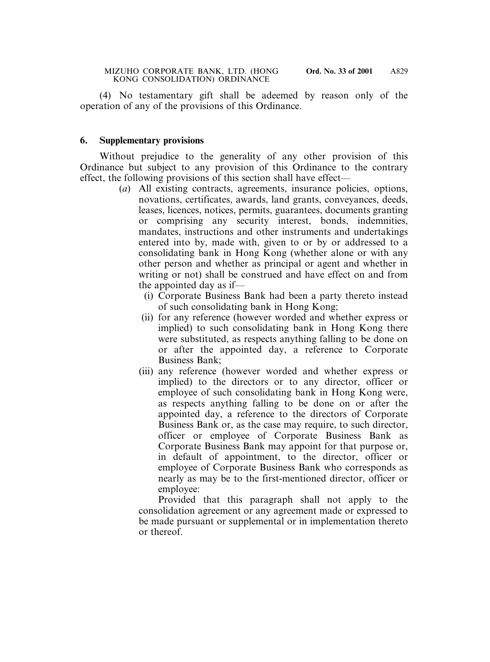(4) No testamentary gift shall be adeemed by reason only of the operation of any of the provisions of this Ordinance.

#### **6. Supplementary provisions**

Without prejudice to the generality of any other provision of this Ordinance but subject to any provision of this Ordinance to the contrary effect, the following provisions of this section shall have effect—

- (*a*) All existing contracts, agreements, insurance policies, options, novations, certificates, awards, land grants, conveyances, deeds, leases, licences, notices, permits, guarantees, documents granting or comprising any security interest, bonds, indemnities, mandates, instructions and other instruments and undertakings entered into by, made with, given to or by or addressed to a consolidating bank in Hong Kong (whether alone or with any other person and whether as principal or agent and whether in writing or not) shall be construed and have effect on and from the appointed day as if—
	- (i) Corporate Business Bank had been a party thereto instead of such consolidating bank in Hong Kong;
	- (ii) for any reference (however worded and whether express or implied) to such consolidating bank in Hong Kong there were substituted, as respects anything falling to be done on or after the appointed day, a reference to Corporate Business Bank;
	- (iii) any reference (however worded and whether express or implied) to the directors or to any director, officer or employee of such consolidating bank in Hong Kong were, as respects anything falling to be done on or after the appointed day, a reference to the directors of Corporate Business Bank or, as the case may require, to such director, officer or employee of Corporate Business Bank as Corporate Business Bank may appoint for that purpose or, in default of appointment, to the director, officer or employee of Corporate Business Bank who corresponds as nearly as may be to the first-mentioned director, officer or employee:

Provided that this paragraph shall not apply to the consolidation agreement or any agreement made or expressed to be made pursuant or supplemental or in implementation thereto or thereof.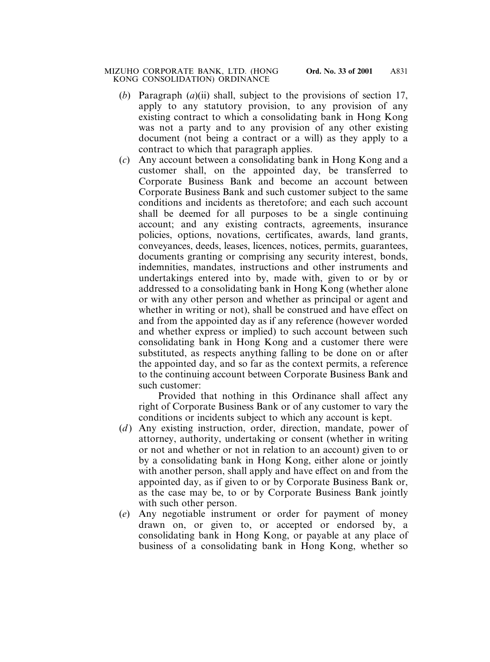- (*b*) Paragraph (*a*)(ii) shall, subject to the provisions of section 17, apply to any statutory provision, to any provision of any existing contract to which a consolidating bank in Hong Kong was not a party and to any provision of any other existing document (not being a contract or a will) as they apply to a contract to which that paragraph applies.
- (*c*) Any account between a consolidating bank in Hong Kong and a customer shall, on the appointed day, be transferred to Corporate Business Bank and become an account between Corporate Business Bank and such customer subject to the same conditions and incidents as theretofore; and each such account shall be deemed for all purposes to be a single continuing account; and any existing contracts, agreements, insurance policies, options, novations, certificates, awards, land grants, conveyances, deeds, leases, licences, notices, permits, guarantees, documents granting or comprising any security interest, bonds, indemnities, mandates, instructions and other instruments and undertakings entered into by, made with, given to or by or addressed to a consolidating bank in Hong Kong (whether alone or with any other person and whether as principal or agent and whether in writing or not), shall be construed and have effect on and from the appointed day as if any reference (however worded and whether express or implied) to such account between such consolidating bank in Hong Kong and a customer there were substituted, as respects anything falling to be done on or after the appointed day, and so far as the context permits, a reference to the continuing account between Corporate Business Bank and such customer:

Provided that nothing in this Ordinance shall affect any right of Corporate Business Bank or of any customer to vary the conditions or incidents subject to which any account is kept.

- (*d*) Any existing instruction, order, direction, mandate, power of attorney, authority, undertaking or consent (whether in writing or not and whether or not in relation to an account) given to or by a consolidating bank in Hong Kong, either alone or jointly with another person, shall apply and have effect on and from the appointed day, as if given to or by Corporate Business Bank or, as the case may be, to or by Corporate Business Bank jointly with such other person.
- (*e*) Any negotiable instrument or order for payment of money drawn on, or given to, or accepted or endorsed by, a consolidating bank in Hong Kong, or payable at any place of business of a consolidating bank in Hong Kong, whether so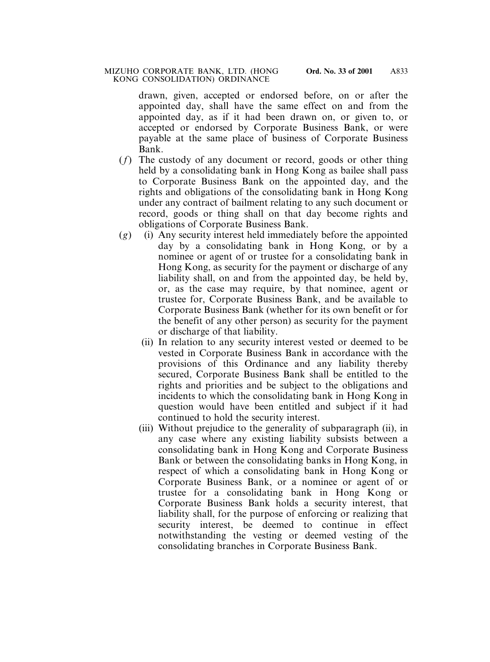drawn, given, accepted or endorsed before, on or after the appointed day, shall have the same effect on and from the appointed day, as if it had been drawn on, or given to, or accepted or endorsed by Corporate Business Bank, or were payable at the same place of business of Corporate Business Bank.

- (*f*) The custody of any document or record, goods or other thing held by a consolidating bank in Hong Kong as bailee shall pass to Corporate Business Bank on the appointed day, and the rights and obligations of the consolidating bank in Hong Kong under any contract of bailment relating to any such document or record, goods or thing shall on that day become rights and obligations of Corporate Business Bank.
- (*g*) (i) Any security interest held immediately before the appointed day by a consolidating bank in Hong Kong, or by a nominee or agent of or trustee for a consolidating bank in Hong Kong, as security for the payment or discharge of any liability shall, on and from the appointed day, be held by, or, as the case may require, by that nominee, agent or trustee for, Corporate Business Bank, and be available to Corporate Business Bank (whether for its own benefit or for the benefit of any other person) as security for the payment or discharge of that liability.
	- (ii) In relation to any security interest vested or deemed to be vested in Corporate Business Bank in accordance with the provisions of this Ordinance and any liability thereby secured, Corporate Business Bank shall be entitled to the rights and priorities and be subject to the obligations and incidents to which the consolidating bank in Hong Kong in question would have been entitled and subject if it had continued to hold the security interest.
	- (iii) Without prejudice to the generality of subparagraph (ii), in any case where any existing liability subsists between a consolidating bank in Hong Kong and Corporate Business Bank or between the consolidating banks in Hong Kong, in respect of which a consolidating bank in Hong Kong or Corporate Business Bank, or a nominee or agent of or trustee for a consolidating bank in Hong Kong or Corporate Business Bank holds a security interest, that liability shall, for the purpose of enforcing or realizing that security interest, be deemed to continue in effect notwithstanding the vesting or deemed vesting of the consolidating branches in Corporate Business Bank.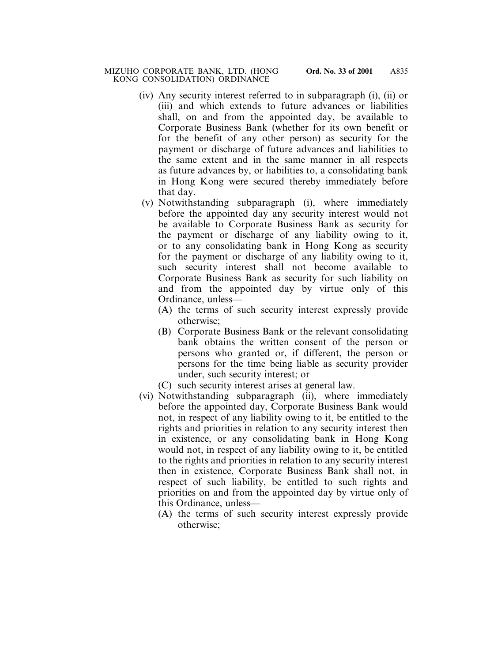- (iv) Any security interest referred to in subparagraph (i), (ii) or (iii) and which extends to future advances or liabilities shall, on and from the appointed day, be available to Corporate Business Bank (whether for its own benefit or for the benefit of any other person) as security for the payment or discharge of future advances and liabilities to the same extent and in the same manner in all respects as future advances by, or liabilities to, a consolidating bank in Hong Kong were secured thereby immediately before that day.
- (v) Notwithstanding subparagraph (i), where immediately before the appointed day any security interest would not be available to Corporate Business Bank as security for the payment or discharge of any liability owing to it, or to any consolidating bank in Hong Kong as security for the payment or discharge of any liability owing to it, such security interest shall not become available to Corporate Business Bank as security for such liability on and from the appointed day by virtue only of this Ordinance, unless—
	- (A) the terms of such security interest expressly provide otherwise;
	- (B) Corporate Business Bank or the relevant consolidating bank obtains the written consent of the person or persons who granted or, if different, the person or persons for the time being liable as security provider under, such security interest; or
	- (C) such security interest arises at general law.
- (vi) Notwithstanding subparagraph (ii), where immediately before the appointed day, Corporate Business Bank would not, in respect of any liability owing to it, be entitled to the rights and priorities in relation to any security interest then in existence, or any consolidating bank in Hong Kong would not, in respect of any liability owing to it, be entitled to the rights and priorities in relation to any security interest then in existence, Corporate Business Bank shall not, in respect of such liability, be entitled to such rights and priorities on and from the appointed day by virtue only of this Ordinance, unless—
	- (A) the terms of such security interest expressly provide otherwise;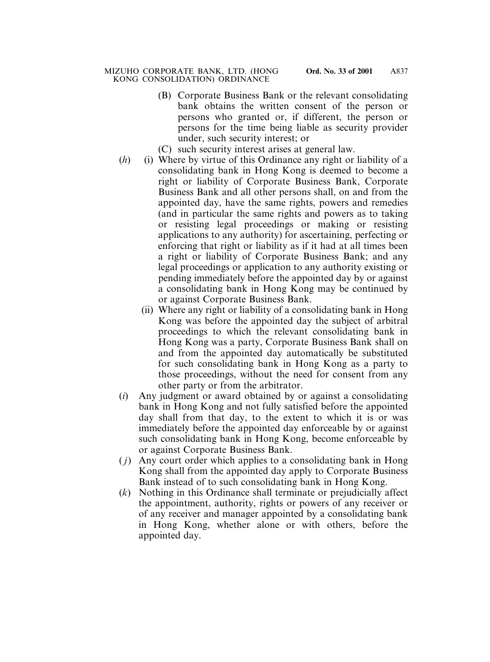- (B) Corporate Business Bank or the relevant consolidating bank obtains the written consent of the person or persons who granted or, if different, the person or persons for the time being liable as security provider under, such security interest; or
- (C) such security interest arises at general law.
- (*h*) (i) Where by virtue of this Ordinance any right or liability of a consolidating bank in Hong Kong is deemed to become a right or liability of Corporate Business Bank, Corporate Business Bank and all other persons shall, on and from the appointed day, have the same rights, powers and remedies (and in particular the same rights and powers as to taking or resisting legal proceedings or making or resisting applications to any authority) for ascertaining, perfecting or enforcing that right or liability as if it had at all times been a right or liability of Corporate Business Bank; and any legal proceedings or application to any authority existing or pending immediately before the appointed day by or against a consolidating bank in Hong Kong may be continued by or against Corporate Business Bank.
	- (ii) Where any right or liability of a consolidating bank in Hong Kong was before the appointed day the subject of arbitral proceedings to which the relevant consolidating bank in Hong Kong was a party, Corporate Business Bank shall on and from the appointed day automatically be substituted for such consolidating bank in Hong Kong as a party to those proceedings, without the need for consent from any other party or from the arbitrator.
- (*i*) Any judgment or award obtained by or against a consolidating bank in Hong Kong and not fully satisfied before the appointed day shall from that day, to the extent to which it is or was immediately before the appointed day enforceable by or against such consolidating bank in Hong Kong, become enforceable by or against Corporate Business Bank.
- ( *j*) Any court order which applies to a consolidating bank in Hong Kong shall from the appointed day apply to Corporate Business Bank instead of to such consolidating bank in Hong Kong.
- (*k*) Nothing in this Ordinance shall terminate or prejudicially affect the appointment, authority, rights or powers of any receiver or of any receiver and manager appointed by a consolidating bank in Hong Kong, whether alone or with others, before the appointed day.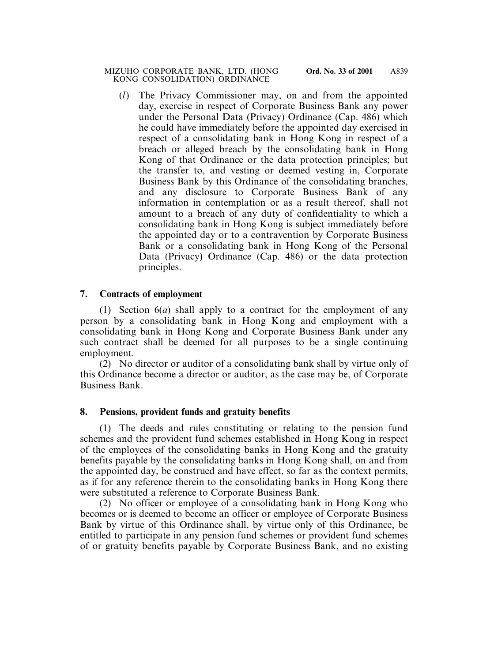(*l*) The Privacy Commissioner may, on and from the appointed day, exercise in respect of Corporate Business Bank any power under the Personal Data (Privacy) Ordinance (Cap. 486) which he could have immediately before the appointed day exercised in respect of a consolidating bank in Hong Kong in respect of a breach or alleged breach by the consolidating bank in Hong Kong of that Ordinance or the data protection principles; but the transfer to, and vesting or deemed vesting in, Corporate Business Bank by this Ordinance of the consolidating branches, and any disclosure to Corporate Business Bank of any information in contemplation or as a result thereof, shall not amount to a breach of any duty of confidentiality to which a consolidating bank in Hong Kong is subject immediately before the appointed day or to a contravention by Corporate Business Bank or a consolidating bank in Hong Kong of the Personal Data (Privacy) Ordinance (Cap. 486) or the data protection principles.

## **7. Contracts of employment**

(1) Section 6(*a*) shall apply to a contract for the employment of any person by a consolidating bank in Hong Kong and employment with a consolidating bank in Hong Kong and Corporate Business Bank under any such contract shall be deemed for all purposes to be a single continuing employment.

(2) No director or auditor of a consolidating bank shall by virtue only of this Ordinance become a director or auditor, as the case may be, of Corporate Business Bank.

### **8. Pensions, provident funds and gratuity benefits**

(1) The deeds and rules constituting or relating to the pension fund schemes and the provident fund schemes established in Hong Kong in respect of the employees of the consolidating banks in Hong Kong and the gratuity benefits payable by the consolidating banks in Hong Kong shall, on and from the appointed day, be construed and have effect, so far as the context permits, as if for any reference therein to the consolidating banks in Hong Kong there were substituted a reference to Corporate Business Bank.

(2) No officer or employee of a consolidating bank in Hong Kong who becomes or is deemed to become an officer or employee of Corporate Business Bank by virtue of this Ordinance shall, by virtue only of this Ordinance, be entitled to participate in any pension fund schemes or provident fund schemes of or gratuity benefits payable by Corporate Business Bank, and no existing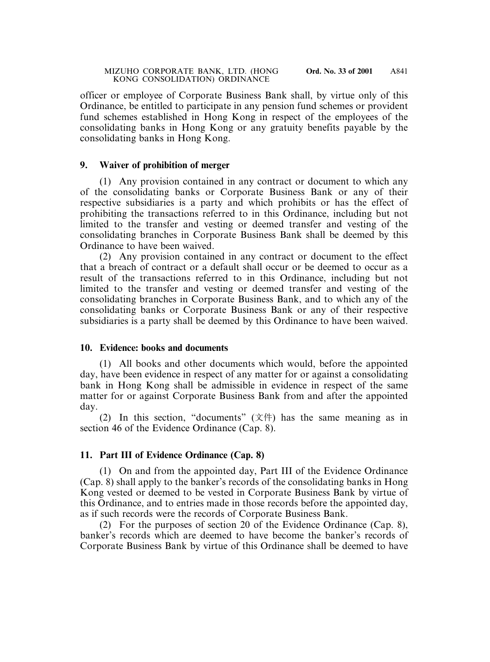officer or employee of Corporate Business Bank shall, by virtue only of this Ordinance, be entitled to participate in any pension fund schemes or provident fund schemes established in Hong Kong in respect of the employees of the consolidating banks in Hong Kong or any gratuity benefits payable by the consolidating banks in Hong Kong.

## **9. Waiver of prohibition of merger**

(1) Any provision contained in any contract or document to which any of the consolidating banks or Corporate Business Bank or any of their respective subsidiaries is a party and which prohibits or has the effect of prohibiting the transactions referred to in this Ordinance, including but not limited to the transfer and vesting or deemed transfer and vesting of the consolidating branches in Corporate Business Bank shall be deemed by this Ordinance to have been waived.

(2) Any provision contained in any contract or document to the effect that a breach of contract or a default shall occur or be deemed to occur as a result of the transactions referred to in this Ordinance, including but not limited to the transfer and vesting or deemed transfer and vesting of the consolidating branches in Corporate Business Bank, and to which any of the consolidating banks or Corporate Business Bank or any of their respective subsidiaries is a party shall be deemed by this Ordinance to have been waived.

# **10. Evidence: books and documents**

(1) All books and other documents which would, before the appointed day, have been evidence in respect of any matter for or against a consolidating bank in Hong Kong shall be admissible in evidence in respect of the same matter for or against Corporate Business Bank from and after the appointed day.

(2) In this section, "documents"  $(\overrightarrow{\chi}$  ( $\overrightarrow{\chi}$ ) has the same meaning as in section 46 of the Evidence Ordinance (Cap. 8).

# **11. Part III of Evidence Ordinance (Cap. 8)**

(1) On and from the appointed day, Part III of the Evidence Ordinance (Cap. 8) shall apply to the banker's records of the consolidating banks in Hong Kong vested or deemed to be vested in Corporate Business Bank by virtue of this Ordinance, and to entries made in those records before the appointed day, as if such records were the records of Corporate Business Bank.

(2) For the purposes of section 20 of the Evidence Ordinance (Cap. 8), banker's records which are deemed to have become the banker's records of Corporate Business Bank by virtue of this Ordinance shall be deemed to have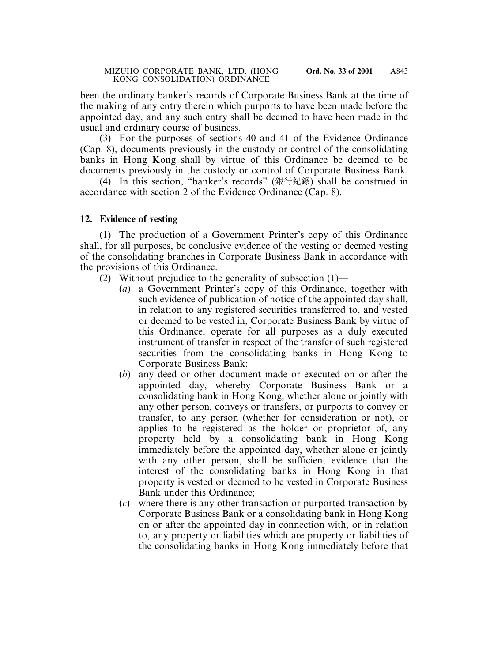been the ordinary banker's records of Corporate Business Bank at the time of the making of any entry therein which purports to have been made before the appointed day, and any such entry shall be deemed to have been made in the usual and ordinary course of business.

(3) For the purposes of sections 40 and 41 of the Evidence Ordinance (Cap. 8), documents previously in the custody or control of the consolidating banks in Hong Kong shall by virtue of this Ordinance be deemed to be documents previously in the custody or control of Corporate Business Bank.

(4) In this section, "banker's records" (銀行紀錄) shall be construed in accordance with section 2 of the Evidence Ordinance (Cap. 8).

### **12. Evidence of vesting**

(1) The production of a Government Printer's copy of this Ordinance shall, for all purposes, be conclusive evidence of the vesting or deemed vesting of the consolidating branches in Corporate Business Bank in accordance with the provisions of this Ordinance.

- (2) Without prejudice to the generality of subsection  $(1)$ 
	- (*a*) a Government Printer's copy of this Ordinance, together with such evidence of publication of notice of the appointed day shall, in relation to any registered securities transferred to, and vested or deemed to be vested in, Corporate Business Bank by virtue of this Ordinance, operate for all purposes as a duly executed instrument of transfer in respect of the transfer of such registered securities from the consolidating banks in Hong Kong to Corporate Business Bank;
	- (*b*) any deed or other document made or executed on or after the appointed day, whereby Corporate Business Bank or a consolidating bank in Hong Kong, whether alone or jointly with any other person, conveys or transfers, or purports to convey or transfer, to any person (whether for consideration or not), or applies to be registered as the holder or proprietor of, any property held by a consolidating bank in Hong Kong immediately before the appointed day, whether alone or jointly with any other person, shall be sufficient evidence that the interest of the consolidating banks in Hong Kong in that property is vested or deemed to be vested in Corporate Business Bank under this Ordinance;
	- (*c*) where there is any other transaction or purported transaction by Corporate Business Bank or a consolidating bank in Hong Kong on or after the appointed day in connection with, or in relation to, any property or liabilities which are property or liabilities of the consolidating banks in Hong Kong immediately before that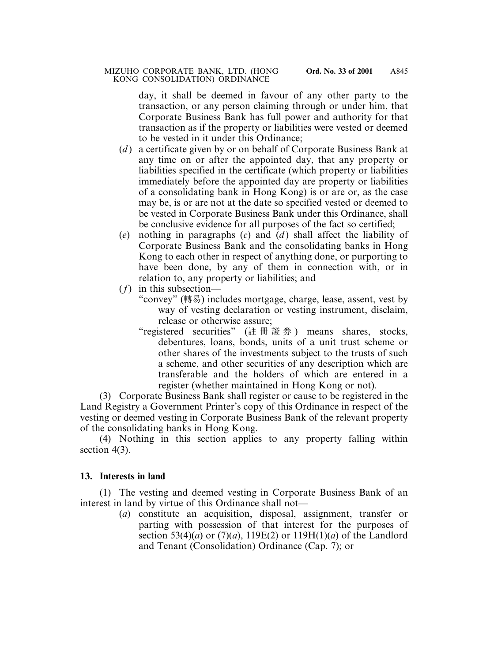day, it shall be deemed in favour of any other party to the transaction, or any person claiming through or under him, that Corporate Business Bank has full power and authority for that transaction as if the property or liabilities were vested or deemed to be vested in it under this Ordinance;

- (*d* ) a certificate given by or on behalf of Corporate Business Bank at any time on or after the appointed day, that any property or liabilities specified in the certificate (which property or liabilities immediately before the appointed day are property or liabilities of a consolidating bank in Hong Kong) is or are or, as the case may be, is or are not at the date so specified vested or deemed to be vested in Corporate Business Bank under this Ordinance, shall be conclusive evidence for all purposes of the fact so certified;
- (*e*) nothing in paragraphs (*c*) and (*d* ) shall affect the liability of Corporate Business Bank and the consolidating banks in Hong Kong to each other in respect of anything done, or purporting to have been done, by any of them in connection with, or in relation to, any property or liabilities; and
- (*f*) in this subsection—
	- "convey" (轉易) includes mortgage, charge, lease, assent, vest by way of vesting declaration or vesting instrument, disclaim, release or otherwise assure;
	- "registered securities" (註冊證券 ) means shares, stocks, debentures, loans, bonds, units of a unit trust scheme or other shares of the investments subject to the trusts of such a scheme, and other securities of any description which are transferable and the holders of which are entered in a register (whether maintained in Hong Kong or not).

(3) Corporate Business Bank shall register or cause to be registered in the Land Registry a Government Printer's copy of this Ordinance in respect of the vesting or deemed vesting in Corporate Business Bank of the relevant property of the consolidating banks in Hong Kong.

(4) Nothing in this section applies to any property falling within section 4(3).

# **13. Interests in land**

(1) The vesting and deemed vesting in Corporate Business Bank of an interest in land by virtue of this Ordinance shall not—

(*a*) constitute an acquisition, disposal, assignment, transfer or parting with possession of that interest for the purposes of section 53(4)(*a*) or (7)(*a*), 119E(2) or 119H(1)(*a*) of the Landlord and Tenant (Consolidation) Ordinance (Cap. 7); or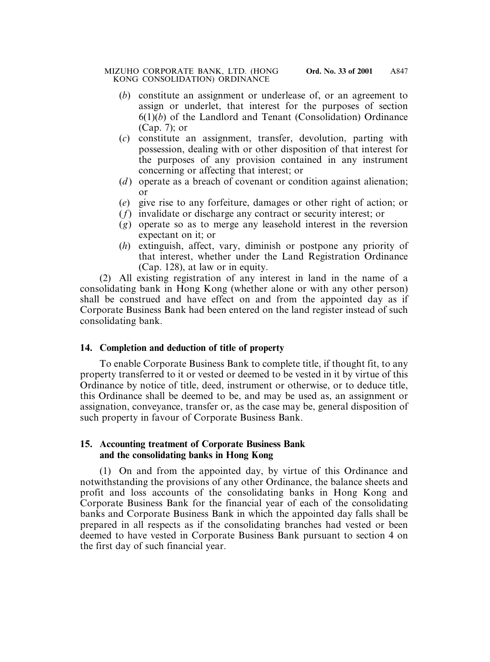- (*b*) constitute an assignment or underlease of, or an agreement to assign or underlet, that interest for the purposes of section 6(1)(*b*) of the Landlord and Tenant (Consolidation) Ordinance (Cap. 7); or
- (*c*) constitute an assignment, transfer, devolution, parting with possession, dealing with or other disposition of that interest for the purposes of any provision contained in any instrument concerning or affecting that interest; or
- (*d*) operate as a breach of covenant or condition against alienation; or
- (*e*) give rise to any forfeiture, damages or other right of action; or
- (*f*) invalidate or discharge any contract or security interest; or
- (*g*) operate so as to merge any leasehold interest in the reversion expectant on it; or
- (*h*) extinguish, affect, vary, diminish or postpone any priority of that interest, whether under the Land Registration Ordinance (Cap. 128), at law or in equity.

(2) All existing registration of any interest in land in the name of a consolidating bank in Hong Kong (whether alone or with any other person) shall be construed and have effect on and from the appointed day as if Corporate Business Bank had been entered on the land register instead of such consolidating bank.

# **14. Completion and deduction of title of property**

To enable Corporate Business Bank to complete title, if thought fit, to any property transferred to it or vested or deemed to be vested in it by virtue of this Ordinance by notice of title, deed, instrument or otherwise, or to deduce title, this Ordinance shall be deemed to be, and may be used as, an assignment or assignation, conveyance, transfer or, as the case may be, general disposition of such property in favour of Corporate Business Bank.

## **15. Accounting treatment of Corporate Business Bank and the consolidating banks in Hong Kong**

(1) On and from the appointed day, by virtue of this Ordinance and notwithstanding the provisions of any other Ordinance, the balance sheets and profit and loss accounts of the consolidating banks in Hong Kong and Corporate Business Bank for the financial year of each of the consolidating banks and Corporate Business Bank in which the appointed day falls shall be prepared in all respects as if the consolidating branches had vested or been deemed to have vested in Corporate Business Bank pursuant to section 4 on the first day of such financial year.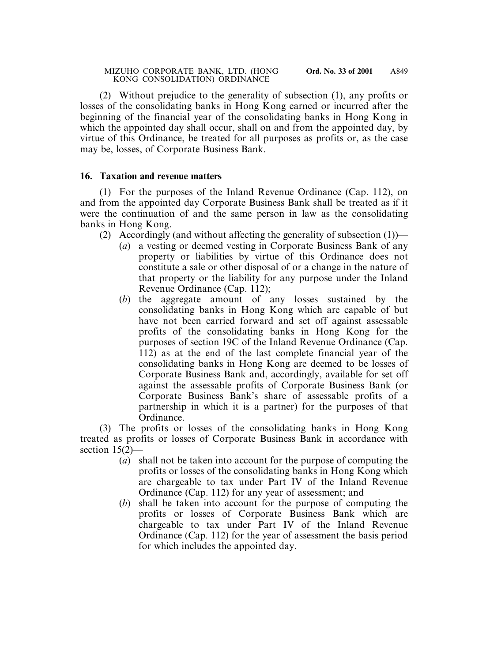(2) Without prejudice to the generality of subsection (1), any profits or losses of the consolidating banks in Hong Kong earned or incurred after the beginning of the financial year of the consolidating banks in Hong Kong in which the appointed day shall occur, shall on and from the appointed day, by virtue of this Ordinance, be treated for all purposes as profits or, as the case may be, losses, of Corporate Business Bank.

### **16. Taxation and revenue matters**

(1) For the purposes of the Inland Revenue Ordinance (Cap. 112), on and from the appointed day Corporate Business Bank shall be treated as if it were the continuation of and the same person in law as the consolidating banks in Hong Kong.

- (2) Accordingly (and without affecting the generality of subsection  $(1)$ )—
	- (*a*) a vesting or deemed vesting in Corporate Business Bank of any property or liabilities by virtue of this Ordinance does not constitute a sale or other disposal of or a change in the nature of that property or the liability for any purpose under the Inland Revenue Ordinance (Cap. 112);
	- (*b*) the aggregate amount of any losses sustained by the consolidating banks in Hong Kong which are capable of but have not been carried forward and set off against assessable profits of the consolidating banks in Hong Kong for the purposes of section 19C of the Inland Revenue Ordinance (Cap. 112) as at the end of the last complete financial year of the consolidating banks in Hong Kong are deemed to be losses of Corporate Business Bank and, accordingly, available for set off against the assessable profits of Corporate Business Bank (or Corporate Business Bank's share of assessable profits of a partnership in which it is a partner) for the purposes of that Ordinance.

(3) The profits or losses of the consolidating banks in Hong Kong treated as profits or losses of Corporate Business Bank in accordance with section 15(2)—

- (*a*) shall not be taken into account for the purpose of computing the profits or losses of the consolidating banks in Hong Kong which are chargeable to tax under Part IV of the Inland Revenue Ordinance (Cap. 112) for any year of assessment; and
- (*b*) shall be taken into account for the purpose of computing the profits or losses of Corporate Business Bank which are chargeable to tax under Part IV of the Inland Revenue Ordinance (Cap. 112) for the year of assessment the basis period for which includes the appointed day.